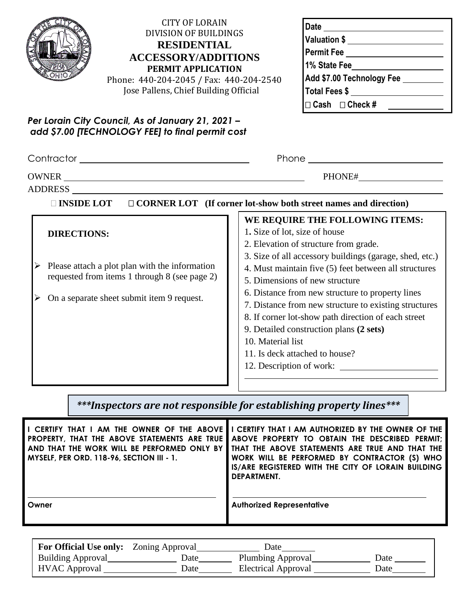| pocoocoo<br>۳<br>۰<br>۰<br>o<br>٠<br><b>COOPER</b><br>50000<br>۵<br>n<br>٥<br>œ<br>c |
|--------------------------------------------------------------------------------------|
|--------------------------------------------------------------------------------------|

## CITY OF LORAIN DIVISION OF BUILDINGS **RESIDENTIAL ACCESSORY/ADDITIONS PERMIT APPLICATION**

| Phone: 440-204-2045 / Fax: 440-204-2540 |
|-----------------------------------------|
| Jose Pallens, Chief Building Official   |

| <b>Date</b>                |
|----------------------------|
| Valuation \$               |
| Permit Fee                 |
| 1% State Fee               |
| Add \$7.00 Technology Fee  |
| Total Fees \$              |
| $\Box$ Cash $\Box$ Check # |

**Permit #**

## *Per Lorain City Council, As of January 21, 2021 – add \$7.00 [TECHNOLOGY FEE] to final permit cost*

| Contractor entrance and the contractor of the contractor of the contractor of the contractor of the contractor                                                      | Phone                                                                                                                                                                                                                                                                                                                                                                                                                                                                                                                                 |  |  |  |  |
|---------------------------------------------------------------------------------------------------------------------------------------------------------------------|---------------------------------------------------------------------------------------------------------------------------------------------------------------------------------------------------------------------------------------------------------------------------------------------------------------------------------------------------------------------------------------------------------------------------------------------------------------------------------------------------------------------------------------|--|--|--|--|
| ADDRESS                                                                                                                                                             | PHONE#                                                                                                                                                                                                                                                                                                                                                                                                                                                                                                                                |  |  |  |  |
| □ CORNER LOT (If corner lot-show both street names and direction)<br><b>INSIDE LOT</b>                                                                              |                                                                                                                                                                                                                                                                                                                                                                                                                                                                                                                                       |  |  |  |  |
| <b>DIRECTIONS:</b><br>Please attach a plot plan with the information<br>requested from items 1 through 8 (see page 2)<br>On a separate sheet submit item 9 request. | WE REQUIRE THE FOLLOWING ITEMS:<br>1. Size of lot, size of house<br>2. Elevation of structure from grade.<br>3. Size of all accessory buildings (garage, shed, etc.)<br>4. Must maintain five (5) feet between all structures<br>5. Dimensions of new structure<br>6. Distance from new structure to property lines<br>7. Distance from new structure to existing structures<br>8. If corner lot-show path direction of each street<br>9. Detailed construction plans (2 sets)<br>10. Material list<br>11. Is deck attached to house? |  |  |  |  |

# *\*\*\*Inspectors are not responsible for establishing property lines\*\*\**

| I CERTIFY THAT I AM THE OWNER OF THE ABOVE I<br>PROPERTY, THAT THE ABOVE STATEMENTS ARE TRUE<br>AND THAT THE WORK WILL BE PERFORMED ONLY BY<br><b>MYSELF, PER ORD. 118-96, SECTION III - 1.</b> | I CERTIFY THAT I AM AUTHORIZED BY THE OWNER OF THE<br>ABOVE PROPERTY TO OBTAIN THE DESCRIBED PERMIT;<br>THAT THE ABOVE STATEMENTS ARE TRUE AND THAT THE<br>WORK WILL BE PERFORMED BY CONTRACTOR (S) WHO<br>IS/ARE REGISTERED WITH THE CITY OF LORAIN BUILDING<br>DEPARTMENT. |
|-------------------------------------------------------------------------------------------------------------------------------------------------------------------------------------------------|------------------------------------------------------------------------------------------------------------------------------------------------------------------------------------------------------------------------------------------------------------------------------|
| Owner                                                                                                                                                                                           | <b>Authorized Representative</b>                                                                                                                                                                                                                                             |

| <b>For Official Use only:</b> Zoning Approval |      | Date                       |      |
|-----------------------------------------------|------|----------------------------|------|
| <b>Building Approval</b>                      | Date | Plumbing Approval          | Date |
| <b>HVAC</b> Approval                          | Date | <b>Electrical Approval</b> | Date |